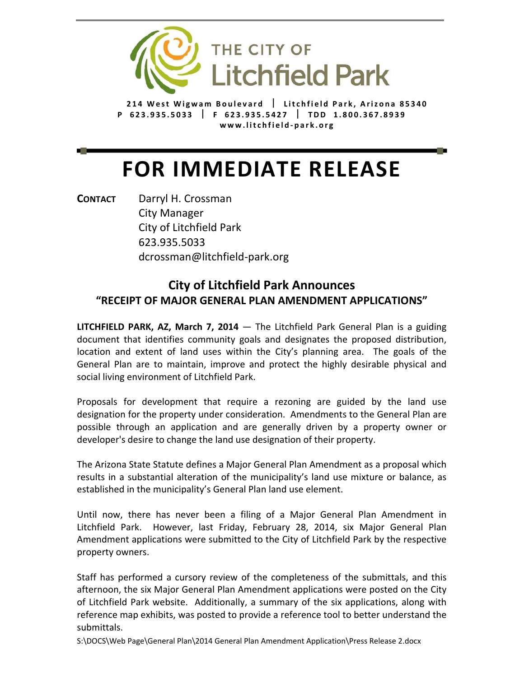

**214 West Wigwam Boulevard Litchfield Park, Arizona 85340 P 623.935.5033 F 623.935.5427 TDD 1.800.367.8939 www.litchfield ‐ park.org**

## **FOR IMMEDIATE RELEASE**

**CONTACT** Darryl H. Crossman City Manager City of Litchfield Park 623.935.5033 dcrossman@litchfield‐park.org

## **City of Litchfield Park Announces "RECEIPT OF MAJOR GENERAL PLAN AMENDMENT APPLICATIONS"**

**LITCHFIELD PARK, AZ, March 7, 2014** — The Litchfield Park General Plan is a guiding document that identifies community goals and designates the proposed distribution, location and extent of land uses within the City's planning area. The goals of the General Plan are to maintain, improve and protect the highly desirable physical and social living environment of Litchfield Park.

Proposals for development that require a rezoning are guided by the land use designation for the property under consideration. Amendments to the General Plan are possible through an application and are generally driven by a property owner or developer's desire to change the land use designation of their property.

The Arizona State Statute defines a Major General Plan Amendment as a proposal which results in a substantial alteration of the municipality's land use mixture or balance, as established in the municipality's General Plan land use element.

Until now, there has never been a filing of a Major General Plan Amendment in Litchfield Park. However, last Friday, February 28, 2014, six Major General Plan Amendment applications were submitted to the City of Litchfield Park by the respective property owners.

Staff has performed a cursory review of the completeness of the submittals, and this afternoon, the six Major General Plan Amendment applications were posted on the City of Litchfield Park website. Additionally, a summary of the six applications, along with reference map exhibits, was posted to provide a reference tool to better understand the submittals.

S:\DOCS\Web Page\General Plan\2014 General Plan Amendment Application\Press Release 2.docx